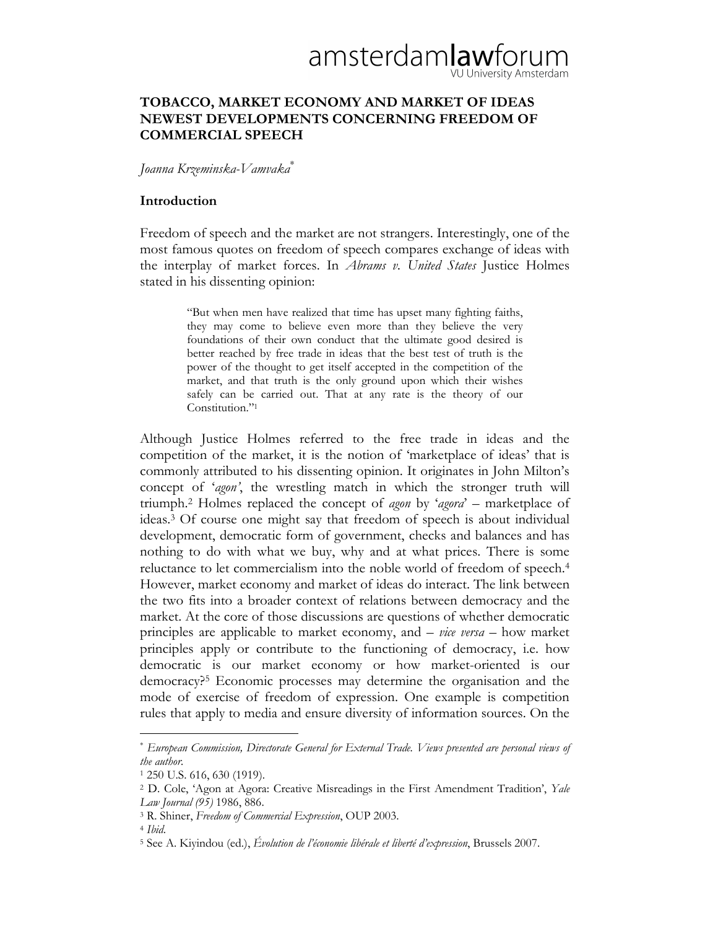# amsterdamlawforu VU University Amsterdam

# TOBACCO, MARKET ECONOMY AND MARKET OF IDEAS NEWEST DEVELOPMENTS CONCERNING FREEDOM OF COMMERCIAL SPEECH

### Joanna Krzeminska-Vamvaka<sup>∗</sup>

## Introduction

Freedom of speech and the market are not strangers. Interestingly, one of the most famous quotes on freedom of speech compares exchange of ideas with the interplay of market forces. In Abrams v. United States Justice Holmes stated in his dissenting opinion:

> "But when men have realized that time has upset many fighting faiths, they may come to believe even more than they believe the very foundations of their own conduct that the ultimate good desired is better reached by free trade in ideas that the best test of truth is the power of the thought to get itself accepted in the competition of the market, and that truth is the only ground upon which their wishes safely can be carried out. That at any rate is the theory of our Constitution."<sup>1</sup>

Although Justice Holmes referred to the free trade in ideas and the competition of the market, it is the notion of 'marketplace of ideas' that is commonly attributed to his dissenting opinion. It originates in John Milton's concept of 'agon', the wrestling match in which the stronger truth will triumph.<sup>2</sup> Holmes replaced the concept of agon by 'agora' – marketplace of ideas.3 Of course one might say that freedom of speech is about individual development, democratic form of government, checks and balances and has nothing to do with what we buy, why and at what prices. There is some reluctance to let commercialism into the noble world of freedom of speech.<sup>4</sup> However, market economy and market of ideas do interact. The link between the two fits into a broader context of relations between democracy and the market. At the core of those discussions are questions of whether democratic principles are applicable to market economy, and  $-$  *vice versa*  $-$  how market principles apply or contribute to the functioning of democracy, i.e. how democratic is our market economy or how market-oriented is our democracy?5 Economic processes may determine the organisation and the mode of exercise of freedom of expression. One example is competition rules that apply to media and ensure diversity of information sources. On the

<sup>∗</sup> European Commission, Directorate General for External Trade. Views presented are personal views of the author.

<sup>1</sup> 250 U.S. 616, 630 (1919).

<sup>&</sup>lt;sup>2</sup> D. Cole, 'Agon at Agora: Creative Misreadings in the First Amendment Tradition', Yale Law Journal (95) 1986, 886.

<sup>3</sup> R. Shiner, Freedom of Commercial Expression, OUP 2003.

<sup>4</sup> Ibid.

<sup>&</sup>lt;sup>5</sup> See A. Kiyindou (ed.), *Évolution de l'économie libérale et liberté d'expression*, Brussels 2007.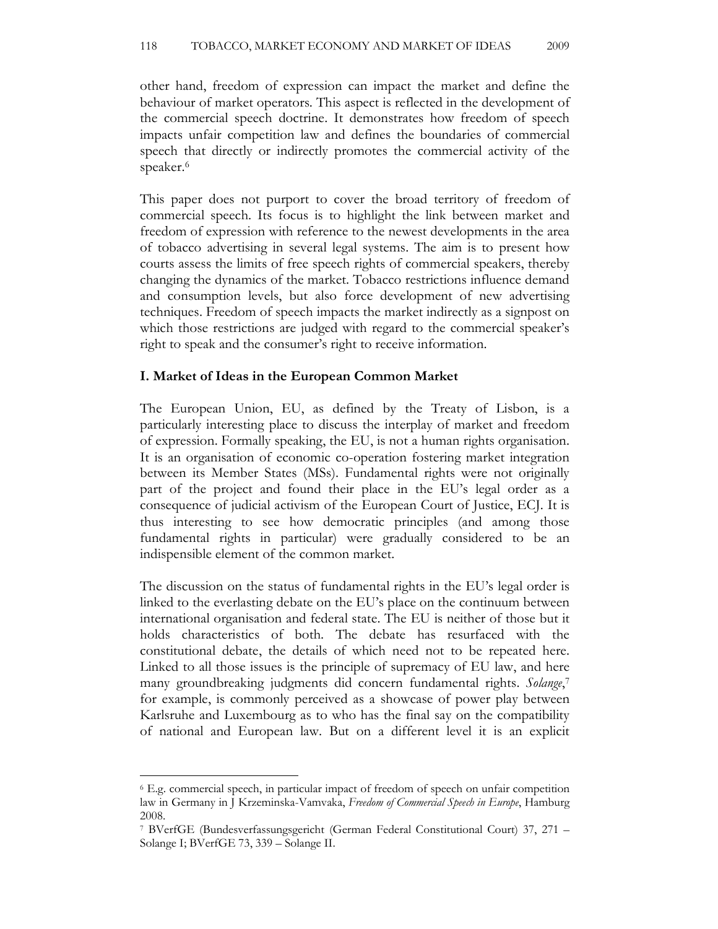other hand, freedom of expression can impact the market and define the behaviour of market operators. This aspect is reflected in the development of the commercial speech doctrine. It demonstrates how freedom of speech impacts unfair competition law and defines the boundaries of commercial speech that directly or indirectly promotes the commercial activity of the speaker.<sup>6</sup>

This paper does not purport to cover the broad territory of freedom of commercial speech. Its focus is to highlight the link between market and freedom of expression with reference to the newest developments in the area of tobacco advertising in several legal systems. The aim is to present how courts assess the limits of free speech rights of commercial speakers, thereby changing the dynamics of the market. Tobacco restrictions influence demand and consumption levels, but also force development of new advertising techniques. Freedom of speech impacts the market indirectly as a signpost on which those restrictions are judged with regard to the commercial speaker's right to speak and the consumer's right to receive information.

#### I. Market of Ideas in the European Common Market

The European Union, EU, as defined by the Treaty of Lisbon, is a particularly interesting place to discuss the interplay of market and freedom of expression. Formally speaking, the EU, is not a human rights organisation. It is an organisation of economic co-operation fostering market integration between its Member States (MSs). Fundamental rights were not originally part of the project and found their place in the EU's legal order as a consequence of judicial activism of the European Court of Justice, ECJ. It is thus interesting to see how democratic principles (and among those fundamental rights in particular) were gradually considered to be an indispensible element of the common market.

The discussion on the status of fundamental rights in the EU's legal order is linked to the everlasting debate on the EU's place on the continuum between international organisation and federal state. The EU is neither of those but it holds characteristics of both. The debate has resurfaced with the constitutional debate, the details of which need not to be repeated here. Linked to all those issues is the principle of supremacy of EU law, and here many groundbreaking judgments did concern fundamental rights. Solange,7 for example, is commonly perceived as a showcase of power play between Karlsruhe and Luxembourg as to who has the final say on the compatibility of national and European law. But on a different level it is an explicit

<sup>6</sup> E.g. commercial speech, in particular impact of freedom of speech on unfair competition law in Germany in J Krzeminska-Vamvaka, Freedom of Commercial Speech in Europe, Hamburg 2008.

<sup>7</sup> BVerfGE (Bundesverfassungsgericht (German Federal Constitutional Court) 37, 271 – Solange I; BVerfGE 73, 339 – Solange II.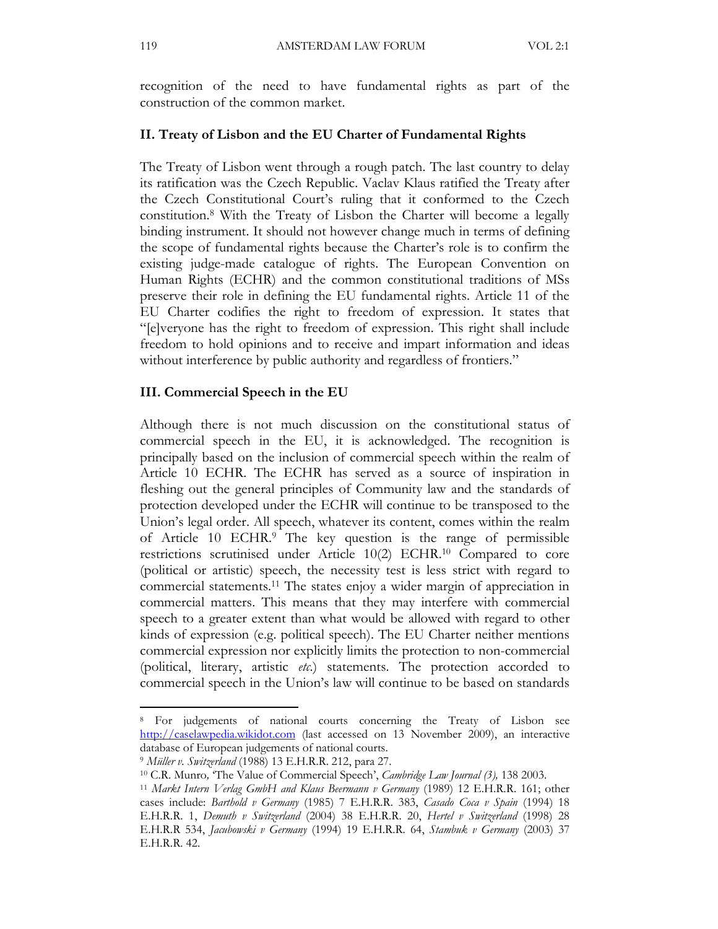recognition of the need to have fundamental rights as part of the construction of the common market.

# II. Treaty of Lisbon and the EU Charter of Fundamental Rights

The Treaty of Lisbon went through a rough patch. The last country to delay its ratification was the Czech Republic. Vaclav Klaus ratified the Treaty after the Czech Constitutional Court's ruling that it conformed to the Czech constitution.<sup>8</sup> With the Treaty of Lisbon the Charter will become a legally binding instrument. It should not however change much in terms of defining the scope of fundamental rights because the Charter's role is to confirm the existing judge-made catalogue of rights. The European Convention on Human Rights (ECHR) and the common constitutional traditions of MSs preserve their role in defining the EU fundamental rights. Article 11 of the EU Charter codifies the right to freedom of expression. It states that "[e]veryone has the right to freedom of expression. This right shall include freedom to hold opinions and to receive and impart information and ideas without interference by public authority and regardless of frontiers."

#### III. Commercial Speech in the EU

Although there is not much discussion on the constitutional status of commercial speech in the EU, it is acknowledged. The recognition is principally based on the inclusion of commercial speech within the realm of Article 10 ECHR. The ECHR has served as a source of inspiration in fleshing out the general principles of Community law and the standards of protection developed under the ECHR will continue to be transposed to the Union's legal order. All speech, whatever its content, comes within the realm of Article 10 ECHR.9 The key question is the range of permissible restrictions scrutinised under Article 10(2) ECHR.10 Compared to core (political or artistic) speech, the necessity test is less strict with regard to commercial statements.11 The states enjoy a wider margin of appreciation in commercial matters. This means that they may interfere with commercial speech to a greater extent than what would be allowed with regard to other kinds of expression (e.g. political speech). The EU Charter neither mentions commercial expression nor explicitly limits the protection to non-commercial (political, literary, artistic  $etc.$ ) statements. The protection accorded to commercial speech in the Union's law will continue to be based on standards

<sup>8</sup> For judgements of national courts concerning the Treaty of Lisbon see http://caselawpedia.wikidot.com (last accessed on 13 November 2009), an interactive database of European judgements of national courts.

<sup>&</sup>lt;sup>9</sup> Müller v. Switzerland (1988) 13 E.H.R.R. 212, para 27.

<sup>&</sup>lt;sup>10</sup> C.R. Munro, 'The Value of Commercial Speech', *Cambridge Law Journal* (3), 138 2003.

<sup>11</sup> Markt Intern Verlag GmbH and Klaus Beermann v Germany (1989) 12 E.H.R.R. 161; other cases include: Barthold v Germany (1985) 7 E.H.R.R. 383, Casado Coca v Spain (1994) 18 E.H.R.R. 1, Demuth v Switzerland (2004) 38 E.H.R.R. 20, Hertel v Switzerland (1998) 28 E.H.R.R 534, Jacubowski v Germany (1994) 19 E.H.R.R. 64, Stambuk v Germany (2003) 37 E.H.R.R. 42.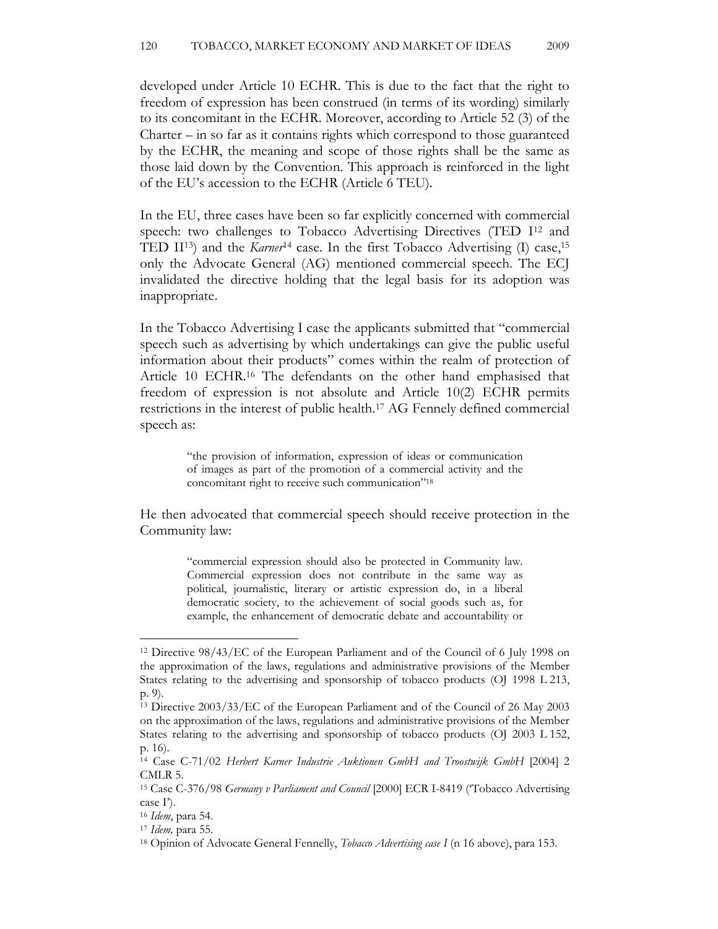developed under Article 10 ECHR. This is due to the fact that the right to freedom of expression has been construed (in terms of its wording) similarly to its concomitant in the ECHR. Moreover, according to Article 52 (3) of the Charter – in so far as it contains rights which correspond to those guaranteed by the ECHR, the meaning and scope of those rights shall be the same as those laid down by the Convention. This approach is reinforced in the light of the EU's accession to the ECHR (Article 6 TEU).

In the EU, three cases have been so far explicitly concerned with commercial speech: two challenges to Tobacco Advertising Directives (TED I<sup>12</sup> and TED II<sup>13</sup>) and the *Karner*<sup>14</sup> case. In the first Tobacco Advertising (I) case,<sup>15</sup> only the Advocate General (AG) mentioned commercial speech. The ECJ invalidated the directive holding that the legal basis for its adoption was inappropriate.

In the Tobacco Advertising I case the applicants submitted that "commercial speech such as advertising by which undertakings can give the public useful information about their products" comes within the realm of protection of Article 10 ECHR.16 The defendants on the other hand emphasised that freedom of expression is not absolute and Article 10(2) ECHR permits restrictions in the interest of public health.17 AG Fennely defined commercial speech as:

> "the provision of information, expression of ideas or communication of images as part of the promotion of a commercial activity and the concomitant right to receive such communication"<sup>18</sup>

He then advocated that commercial speech should receive protection in the Community law:

> "commercial expression should also be protected in Community law. Commercial expression does not contribute in the same way as political, journalistic, literary or artistic expression do, in a liberal democratic society, to the achievement of social goods such as, for example, the enhancement of democratic debate and accountability or

<sup>12</sup> Directive 98/43/EC of the European Parliament and of the Council of 6 July 1998 on the approximation of the laws, regulations and administrative provisions of the Member States relating to the advertising and sponsorship of tobacco products (OJ 1998 L 213, p. 9).

<sup>13</sup> Directive 2003/33/EC of the European Parliament and of the Council of 26 May 2003 on the approximation of the laws, regulations and administrative provisions of the Member States relating to the advertising and sponsorship of tobacco products (OJ 2003 L 152, p. 16).

<sup>&</sup>lt;sup>14</sup> Case C-71/02 Herbert Karner Industrie Auktionen GmbH and Troostwijk GmbH [2004] 2 CMLR 5.

<sup>15</sup> Case C-376/98 Germany v Parliament and Council [2000] ECR I-8419 ('Tobacco Advertising case I').

<sup>16</sup> Idem, para 54.

 $17$  *Idem*, para 55.

<sup>&</sup>lt;sup>18</sup> Opinion of Advocate General Fennelly, *Tobaco Advertising case I* (n 16 above), para 153.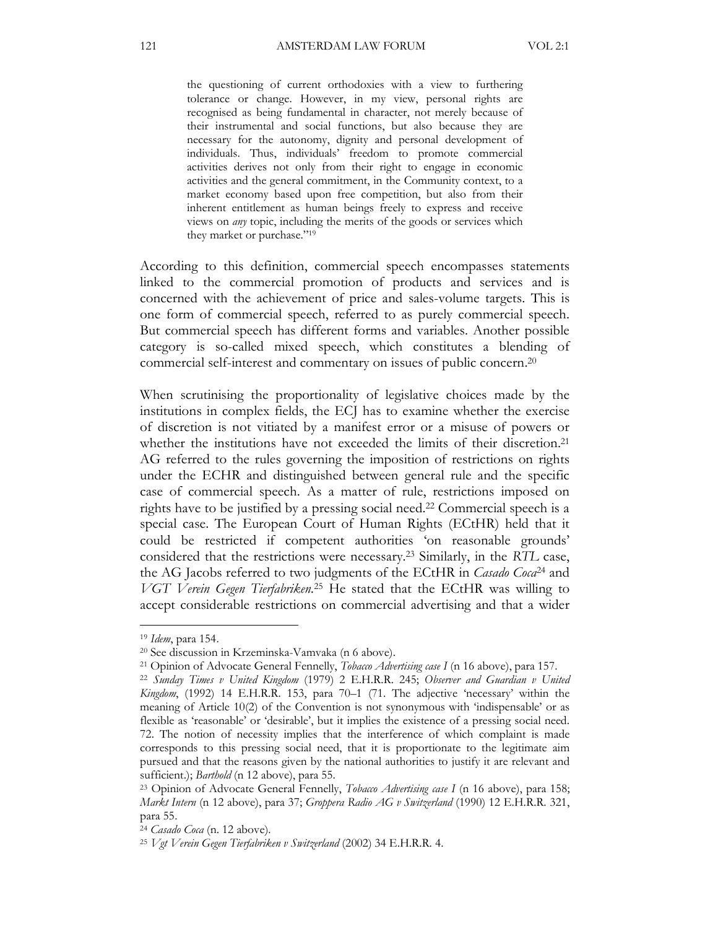the questioning of current orthodoxies with a view to furthering tolerance or change. However, in my view, personal rights are recognised as being fundamental in character, not merely because of their instrumental and social functions, but also because they are necessary for the autonomy, dignity and personal development of individuals. Thus, individuals' freedom to promote commercial activities derives not only from their right to engage in economic activities and the general commitment, in the Community context, to a market economy based upon free competition, but also from their inherent entitlement as human beings freely to express and receive views on any topic, including the merits of the goods or services which they market or purchase."<sup>19</sup>

According to this definition, commercial speech encompasses statements linked to the commercial promotion of products and services and is concerned with the achievement of price and sales-volume targets. This is one form of commercial speech, referred to as purely commercial speech. But commercial speech has different forms and variables. Another possible category is so-called mixed speech, which constitutes a blending of commercial self-interest and commentary on issues of public concern.<sup>20</sup>

When scrutinising the proportionality of legislative choices made by the institutions in complex fields, the ECJ has to examine whether the exercise of discretion is not vitiated by a manifest error or a misuse of powers or whether the institutions have not exceeded the limits of their discretion.<sup>21</sup> AG referred to the rules governing the imposition of restrictions on rights under the ECHR and distinguished between general rule and the specific case of commercial speech. As a matter of rule, restrictions imposed on rights have to be justified by a pressing social need.22 Commercial speech is a special case. The European Court of Human Rights (ECtHR) held that it could be restricted if competent authorities 'on reasonable grounds' considered that the restrictions were necessary.23 Similarly, in the RTL case, the AG Jacobs referred to two judgments of the ECtHR in *Casado Coca*<sup>24</sup> and VGT Verein Gegen Tierfabriken.<sup>25</sup> He stated that the ECtHR was willing to accept considerable restrictions on commercial advertising and that a wider

<sup>19</sup> Idem, para 154.

<sup>20</sup> See discussion in Krzeminska-Vamvaka (n 6 above).

<sup>&</sup>lt;sup>21</sup> Opinion of Advocate General Fennelly, *Tobaco Advertising case I* (n 16 above), para 157.

<sup>&</sup>lt;sup>22</sup> Sunday Times v United Kingdom (1979) 2 E.H.R.R. 245; Observer and Guardian v United Kingdom, (1992) 14 E.H.R.R. 153, para 70–1 (71. The adjective 'necessary' within the meaning of Article 10(2) of the Convention is not synonymous with 'indispensable' or as flexible as 'reasonable' or 'desirable', but it implies the existence of a pressing social need. 72. The notion of necessity implies that the interference of which complaint is made corresponds to this pressing social need, that it is proportionate to the legitimate aim pursued and that the reasons given by the national authorities to justify it are relevant and sufficient.); Barthold (n 12 above), para 55.

<sup>&</sup>lt;sup>23</sup> Opinion of Advocate General Fennelly, *Tobaco Advertising case I* (n 16 above), para 158; Markt Intern (n 12 above), para 37; Groppera Radio AG v Switzerland (1990) 12 E.H.R.R. 321, para 55.

<sup>24</sup> Casado Coca (n. 12 above).

<sup>25</sup> Vgt Verein Gegen Tierfabriken v Switzerland (2002) 34 E.H.R.R. 4.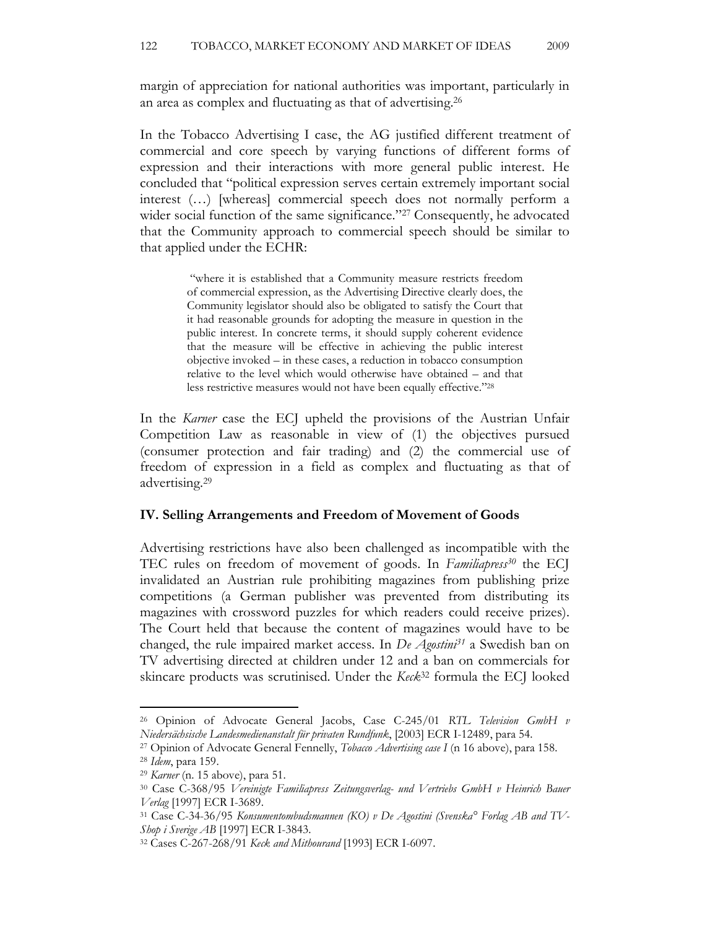margin of appreciation for national authorities was important, particularly in an area as complex and fluctuating as that of advertising.<sup>26</sup>

In the Tobacco Advertising I case, the AG justified different treatment of commercial and core speech by varying functions of different forms of expression and their interactions with more general public interest. He concluded that "political expression serves certain extremely important social interest (…) [whereas] commercial speech does not normally perform a wider social function of the same significance."<sup>27</sup> Consequently, he advocated that the Community approach to commercial speech should be similar to that applied under the ECHR:

> "where it is established that a Community measure restricts freedom of commercial expression, as the Advertising Directive clearly does, the Community legislator should also be obligated to satisfy the Court that it had reasonable grounds for adopting the measure in question in the public interest. In concrete terms, it should supply coherent evidence that the measure will be effective in achieving the public interest objective invoked – in these cases, a reduction in tobacco consumption relative to the level which would otherwise have obtained – and that less restrictive measures would not have been equally effective."<sup>28</sup>

In the *Karner* case the ECJ upheld the provisions of the Austrian Unfair Competition Law as reasonable in view of (1) the objectives pursued (consumer protection and fair trading) and (2) the commercial use of freedom of expression in a field as complex and fluctuating as that of advertising.<sup>29</sup>

#### IV. Selling Arrangements and Freedom of Movement of Goods

Advertising restrictions have also been challenged as incompatible with the TEC rules on freedom of movement of goods. In Familiapress<sup>30</sup> the ECJ invalidated an Austrian rule prohibiting magazines from publishing prize competitions (a German publisher was prevented from distributing its magazines with crossword puzzles for which readers could receive prizes). The Court held that because the content of magazines would have to be changed, the rule impaired market access. In  $De Agostini<sup>31</sup>$  a Swedish ban on TV advertising directed at children under 12 and a ban on commercials for skincare products was scrutinised. Under the Keck<sup>32</sup> formula the ECJ looked

<sup>&</sup>lt;sup>26</sup> Opinion of Advocate General Jacobs, Case C-245/01 RTL Television GmbH v Niedersächsische Landesmedienanstalt für privaten Rundfunk, [2003] ECR I-12489, para 54.

<sup>&</sup>lt;sup>27</sup> Opinion of Advocate General Fennelly, Tobacco Advertising case I (n 16 above), para 158.

<sup>28</sup> Idem, para 159.

<sup>29</sup> Karner (n. 15 above), para 51.

<sup>30</sup> Case C-368/95 Vereinigte Familiapress Zeitungsverlag- und Vertriebs GmbH v Heinrich Bauer Verlag [1997] ECR I-3689.

<sup>31</sup> Case C-34-36/95 Konsumentombudsmannen (KO) v De Agostini (Svenska° Forlag AB and TV-Shop i Sverige AB [1997] ECR I-3843.

<sup>32</sup> Cases C-267-268/91 Keck and Mithourand [1993] ECR I-6097.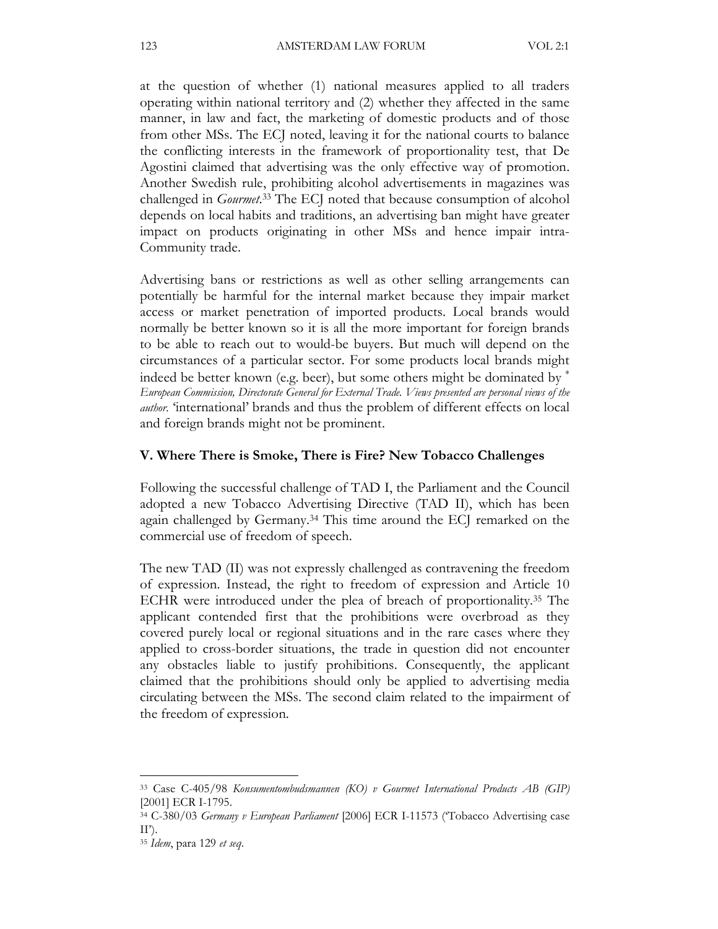at the question of whether (1) national measures applied to all traders operating within national territory and (2) whether they affected in the same manner, in law and fact, the marketing of domestic products and of those from other MSs. The ECJ noted, leaving it for the national courts to balance the conflicting interests in the framework of proportionality test, that De Agostini claimed that advertising was the only effective way of promotion. Another Swedish rule, prohibiting alcohol advertisements in magazines was challenged in *Gourmet*.<sup>33</sup> The ECJ noted that because consumption of alcohol depends on local habits and traditions, an advertising ban might have greater impact on products originating in other MSs and hence impair intra-Community trade.

Advertising bans or restrictions as well as other selling arrangements can potentially be harmful for the internal market because they impair market access or market penetration of imported products. Local brands would normally be better known so it is all the more important for foreign brands to be able to reach out to would-be buyers. But much will depend on the circumstances of a particular sector. For some products local brands might indeed be better known (e.g. beer), but some others might be dominated by <sup>∗</sup> European Commission, Directorate General for External Trade. Views presented are personal views of the author. 'international' brands and thus the problem of different effects on local and foreign brands might not be prominent.

#### V. Where There is Smoke, There is Fire? New Tobacco Challenges

Following the successful challenge of TAD I, the Parliament and the Council adopted a new Tobacco Advertising Directive (TAD II), which has been again challenged by Germany.34 This time around the ECJ remarked on the commercial use of freedom of speech.

The new TAD (II) was not expressly challenged as contravening the freedom of expression. Instead, the right to freedom of expression and Article 10 ECHR were introduced under the plea of breach of proportionality.35 The applicant contended first that the prohibitions were overbroad as they covered purely local or regional situations and in the rare cases where they applied to cross-border situations, the trade in question did not encounter any obstacles liable to justify prohibitions. Consequently, the applicant claimed that the prohibitions should only be applied to advertising media circulating between the MSs. The second claim related to the impairment of the freedom of expression.

<sup>33</sup> Case C-405/98 Konsumentombudsmannen (KO) v Gourmet International Products AB (GIP) [2001] ECR I-1795.

<sup>34</sup> C-380/03 Germany v European Parliament [2006] ECR I-11573 ('Tobacco Advertising case  $II'$ ).

<sup>&</sup>lt;sup>35</sup> Idem, para 129 et seq.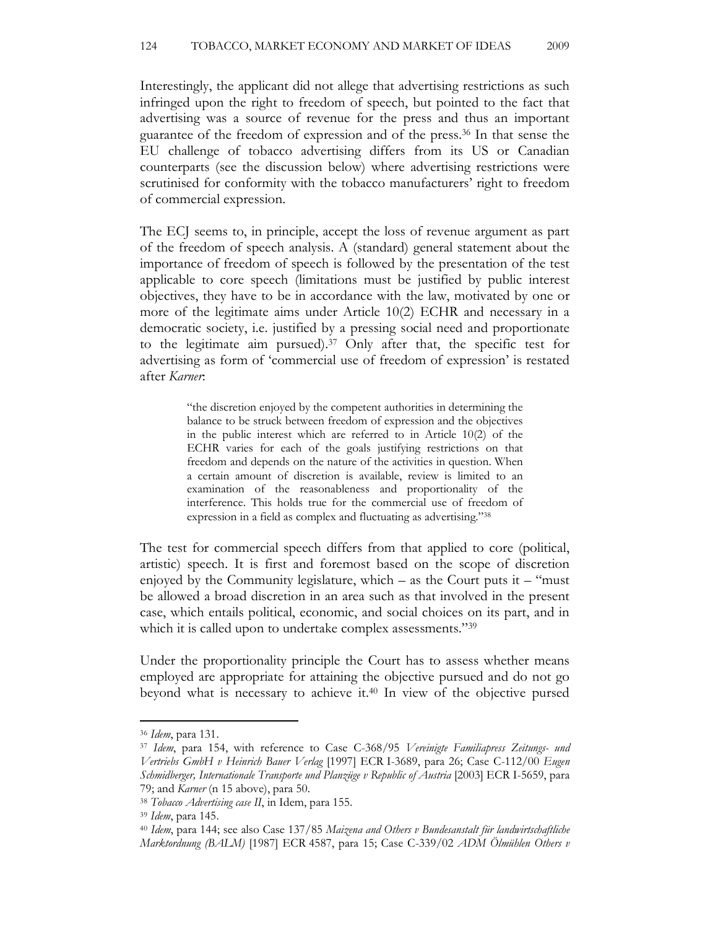Interestingly, the applicant did not allege that advertising restrictions as such infringed upon the right to freedom of speech, but pointed to the fact that advertising was a source of revenue for the press and thus an important guarantee of the freedom of expression and of the press.36 In that sense the EU challenge of tobacco advertising differs from its US or Canadian counterparts (see the discussion below) where advertising restrictions were scrutinised for conformity with the tobacco manufacturers' right to freedom of commercial expression.

The ECJ seems to, in principle, accept the loss of revenue argument as part of the freedom of speech analysis. A (standard) general statement about the importance of freedom of speech is followed by the presentation of the test applicable to core speech (limitations must be justified by public interest objectives, they have to be in accordance with the law, motivated by one or more of the legitimate aims under Article 10(2) ECHR and necessary in a democratic society, i.e. justified by a pressing social need and proportionate to the legitimate aim pursued).37 Only after that, the specific test for advertising as form of 'commercial use of freedom of expression' is restated after Karner:

> "the discretion enjoyed by the competent authorities in determining the balance to be struck between freedom of expression and the objectives in the public interest which are referred to in Article 10(2) of the ECHR varies for each of the goals justifying restrictions on that freedom and depends on the nature of the activities in question. When a certain amount of discretion is available, review is limited to an examination of the reasonableness and proportionality of the interference. This holds true for the commercial use of freedom of expression in a field as complex and fluctuating as advertising."<sup>38</sup>

The test for commercial speech differs from that applied to core (political, artistic) speech. It is first and foremost based on the scope of discretion enjoyed by the Community legislature, which  $-$  as the Court puts it  $-$  "must" be allowed a broad discretion in an area such as that involved in the present case, which entails political, economic, and social choices on its part, and in which it is called upon to undertake complex assessments."<sup>39</sup>

Under the proportionality principle the Court has to assess whether means employed are appropriate for attaining the objective pursued and do not go beyond what is necessary to achieve it.40 In view of the objective pursed

<sup>36</sup> Idem, para 131.

<sup>&</sup>lt;sup>37</sup> Idem, para 154, with reference to Case C-368/95 Vereinigte Familiapress Zeitungs- und Vertriebs GmbH v Heinrich Bauer Verlag [1997] ECR I-3689, para 26; Case C-112/00 Eugen Schmidberger, Internationale Transporte und Planzüge v Republic of Austria [2003] ECR I-5659, para 79; and Karner (n 15 above), para 50.

<sup>38</sup> Tobacco Advertising case II, in Idem, para 155.

<sup>39</sup> Idem, para 145.

<sup>&</sup>lt;sup>40</sup> Idem, para 144; see also Case 137/85 Maizena and Others v Bundesanstalt für landwirtschaftliche Marktordnung (BALM) [1987] ECR 4587, para 15; Case C-339/02 ADM Ölmühlen Others v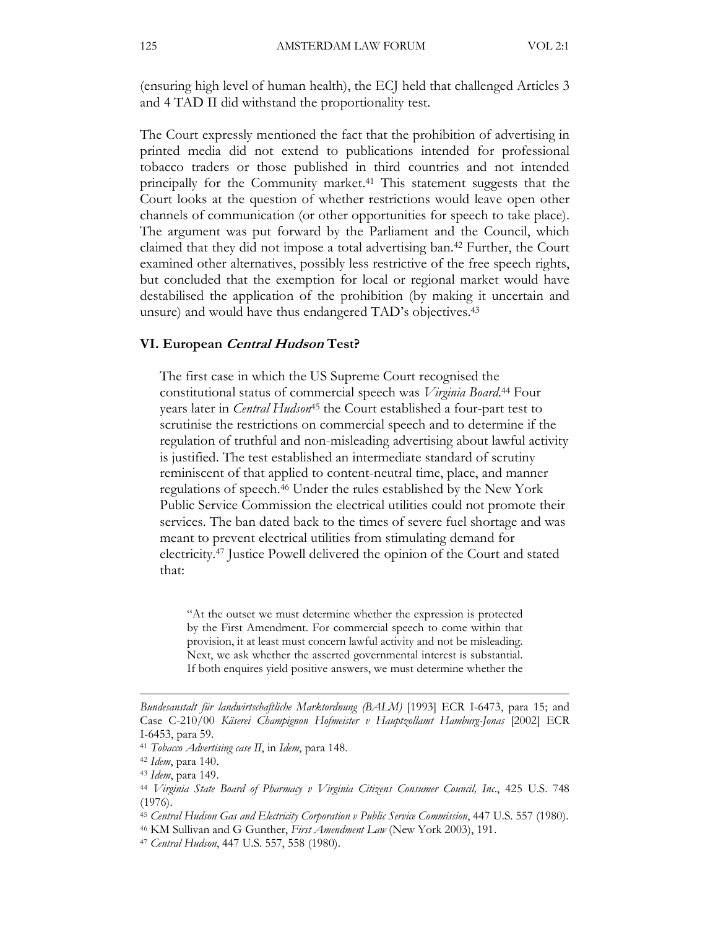(ensuring high level of human health), the ECJ held that challenged Articles 3 and 4 TAD II did withstand the proportionality test.

The Court expressly mentioned the fact that the prohibition of advertising in printed media did not extend to publications intended for professional tobacco traders or those published in third countries and not intended principally for the Community market.41 This statement suggests that the Court looks at the question of whether restrictions would leave open other channels of communication (or other opportunities for speech to take place). The argument was put forward by the Parliament and the Council, which claimed that they did not impose a total advertising ban.42 Further, the Court examined other alternatives, possibly less restrictive of the free speech rights, but concluded that the exemption for local or regional market would have destabilised the application of the prohibition (by making it uncertain and unsure) and would have thus endangered TAD's objectives.<sup>43</sup>

#### VI. European Central Hudson Test?

The first case in which the US Supreme Court recognised the constitutional status of commercial speech was Virginia Board.<sup>44</sup> Four years later in *Central Hudson*<sup>45</sup> the Court established a four-part test to scrutinise the restrictions on commercial speech and to determine if the regulation of truthful and non-misleading advertising about lawful activity is justified. The test established an intermediate standard of scrutiny reminiscent of that applied to content-neutral time, place, and manner regulations of speech.46 Under the rules established by the New York Public Service Commission the electrical utilities could not promote their services. The ban dated back to the times of severe fuel shortage and was meant to prevent electrical utilities from stimulating demand for electricity.47 Justice Powell delivered the opinion of the Court and stated that:

"At the outset we must determine whether the expression is protected by the First Amendment. For commercial speech to come within that provision, it at least must concern lawful activity and not be misleading. Next, we ask whether the asserted governmental interest is substantial. If both enquires yield positive answers, we must determine whether the

Bundesanstalt für landwirtschaftliche Marktordnung (BALM) [1993] ECR I-6473, para 15; and Case C-210/00 Käserei Champignon Hofmeister v Hauptzollamt Hamburg-Jonas [2002] ECR I-6453, para 59.

<sup>&</sup>lt;sup>41</sup> Tobacco Advertising case II, in Idem, para 148.

<sup>42</sup> Idem, para 140.

<sup>43</sup> Idem, para 149.

<sup>44</sup> Virginia State Board of Pharmacy v Virginia Citizens Consumer Council, Inc., 425 U.S. 748 (1976).

<sup>45</sup> Central Hudson Gas and Electricity Corporation v Public Service Commission, 447 U.S. 557 (1980).

<sup>&</sup>lt;sup>46</sup> KM Sullivan and G Gunther, First Amendment Law (New York 2003), 191.

<sup>47</sup> Central Hudson, 447 U.S. 557, 558 (1980).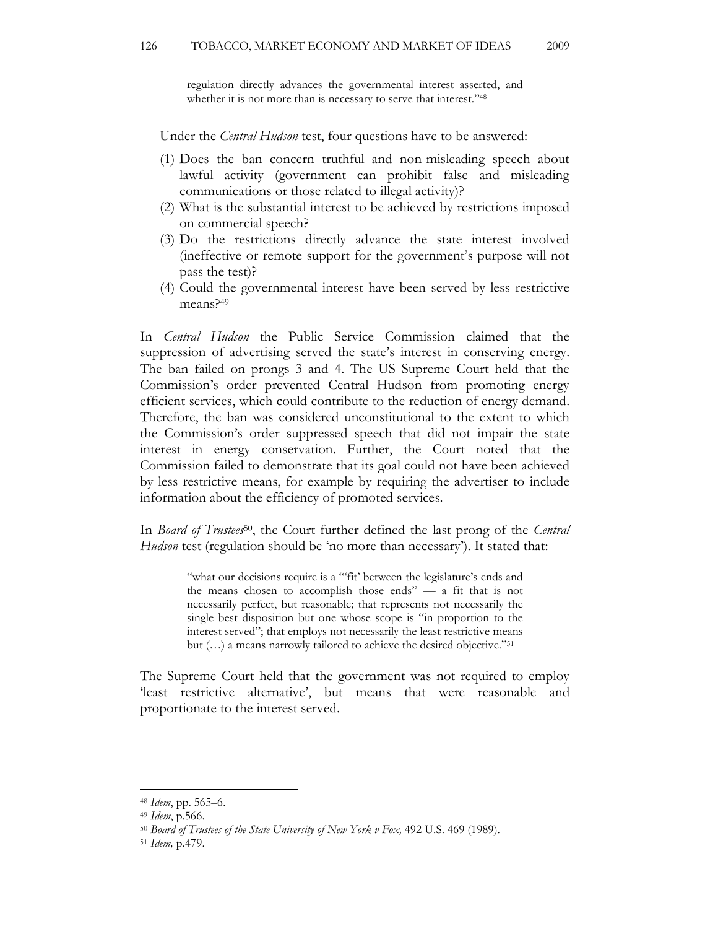regulation directly advances the governmental interest asserted, and whether it is not more than is necessary to serve that interest."<sup>48</sup>

Under the *Central Hudson* test, four questions have to be answered:

- (1) Does the ban concern truthful and non-misleading speech about lawful activity (government can prohibit false and misleading communications or those related to illegal activity)?
- (2) What is the substantial interest to be achieved by restrictions imposed on commercial speech?
- (3) Do the restrictions directly advance the state interest involved (ineffective or remote support for the government's purpose will not pass the test)?
- (4) Could the governmental interest have been served by less restrictive means?<sup>49</sup>

In Central Hudson the Public Service Commission claimed that the suppression of advertising served the state's interest in conserving energy. The ban failed on prongs 3 and 4. The US Supreme Court held that the Commission's order prevented Central Hudson from promoting energy efficient services, which could contribute to the reduction of energy demand. Therefore, the ban was considered unconstitutional to the extent to which the Commission's order suppressed speech that did not impair the state interest in energy conservation. Further, the Court noted that the Commission failed to demonstrate that its goal could not have been achieved by less restrictive means, for example by requiring the advertiser to include information about the efficiency of promoted services.

In Board of Trustees<sup>50</sup>, the Court further defined the last prong of the Central Hudson test (regulation should be 'no more than necessary'). It stated that:

> "what our decisions require is a ""fit' between the legislature's ends and the means chosen to accomplish those ends" — a fit that is not necessarily perfect, but reasonable; that represents not necessarily the single best disposition but one whose scope is "in proportion to the interest served"; that employs not necessarily the least restrictive means but (…) a means narrowly tailored to achieve the desired objective."<sup>51</sup>

The Supreme Court held that the government was not required to employ 'least restrictive alternative', but means that were reasonable and proportionate to the interest served.

<sup>48</sup> Idem, pp. 565–6.

<sup>49</sup> Idem, p.566.

<sup>50</sup> Board of Trustees of the State University of New York v Fox, 492 U.S. 469 (1989).

<sup>51</sup> Idem, p.479.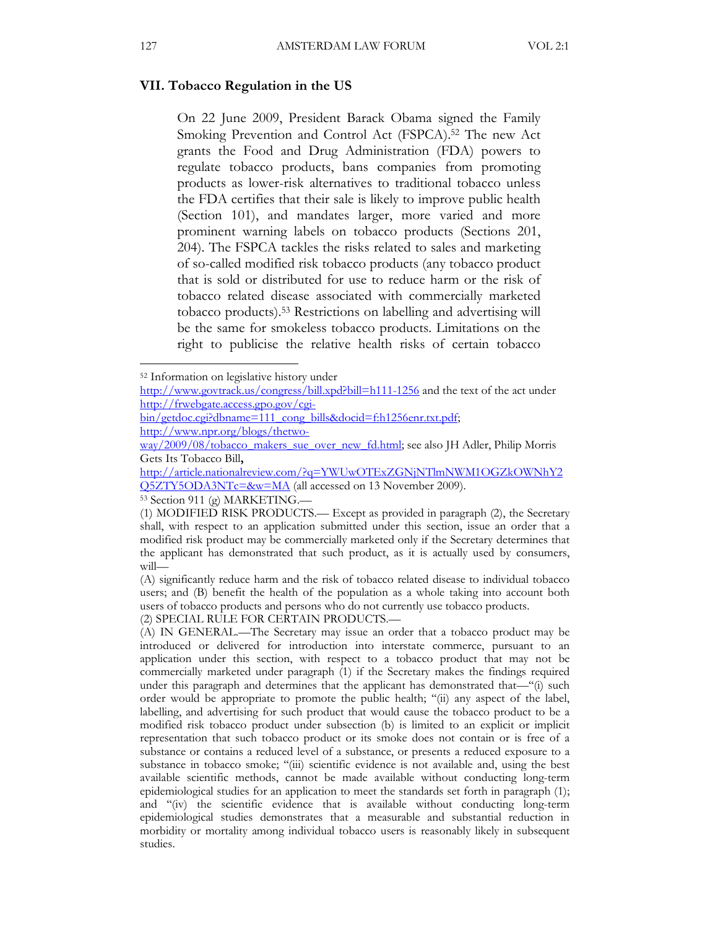#### VII. Tobacco Regulation in the US

On 22 June 2009, President Barack Obama signed the Family Smoking Prevention and Control Act (FSPCA).<sup>52</sup> The new Act grants the Food and Drug Administration (FDA) powers to regulate tobacco products, bans companies from promoting products as lower-risk alternatives to traditional tobacco unless the FDA certifies that their sale is likely to improve public health (Section 101), and mandates larger, more varied and more prominent warning labels on tobacco products (Sections 201, 204). The FSPCA tackles the risks related to sales and marketing of so-called modified risk tobacco products (any tobacco product that is sold or distributed for use to reduce harm or the risk of tobacco related disease associated with commercially marketed tobacco products).53 Restrictions on labelling and advertising will be the same for smokeless tobacco products. Limitations on the right to publicise the relative health risks of certain tobacco

(2) SPECIAL RULE FOR CERTAIN PRODUCTS.—

<sup>52</sup> Information on legislative history under

http://www.govtrack.us/congress/bill.xpd?bill=h111-1256 and the text of the act under http://frwebgate.access.gpo.gov/cgi-

bin/getdoc.cgi?dbname=111\_cong\_bills&docid=f:h1256enr.txt.pdf; http://www.npr.org/blogs/thetwo-

way/2009/08/tobacco\_makers\_sue\_over\_new\_fd.html; see also JH Adler, Philip Morris Gets Its Tobacco Bill,

http://article.nationalreview.com/?q=YWUwOTExZGNjNTlmNWM1OGZkOWNhY2 Q5ZTY5ODA3NTc=&w=MA (all accessed on 13 November 2009).

<sup>53</sup> Section 911 (g) MARKETING.—

<sup>(1)</sup> MODIFIED RISK PRODUCTS.— Except as provided in paragraph (2), the Secretary shall, with respect to an application submitted under this section, issue an order that a modified risk product may be commercially marketed only if the Secretary determines that the applicant has demonstrated that such product, as it is actually used by consumers, will—

<sup>(</sup>A) significantly reduce harm and the risk of tobacco related disease to individual tobacco users; and (B) benefit the health of the population as a whole taking into account both users of tobacco products and persons who do not currently use tobacco products.

<sup>(</sup>A) IN GENERAL.—The Secretary may issue an order that a tobacco product may be introduced or delivered for introduction into interstate commerce, pursuant to an application under this section, with respect to a tobacco product that may not be commercially marketed under paragraph (1) if the Secretary makes the findings required under this paragraph and determines that the applicant has demonstrated that—"(i) such order would be appropriate to promote the public health; ''(ii) any aspect of the label, labelling, and advertising for such product that would cause the tobacco product to be a modified risk tobacco product under subsection (b) is limited to an explicit or implicit representation that such tobacco product or its smoke does not contain or is free of a substance or contains a reduced level of a substance, or presents a reduced exposure to a substance in tobacco smoke; ''(iii) scientific evidence is not available and, using the best available scientific methods, cannot be made available without conducting long-term epidemiological studies for an application to meet the standards set forth in paragraph (1); and ''(iv) the scientific evidence that is available without conducting long-term epidemiological studies demonstrates that a measurable and substantial reduction in morbidity or mortality among individual tobacco users is reasonably likely in subsequent studies.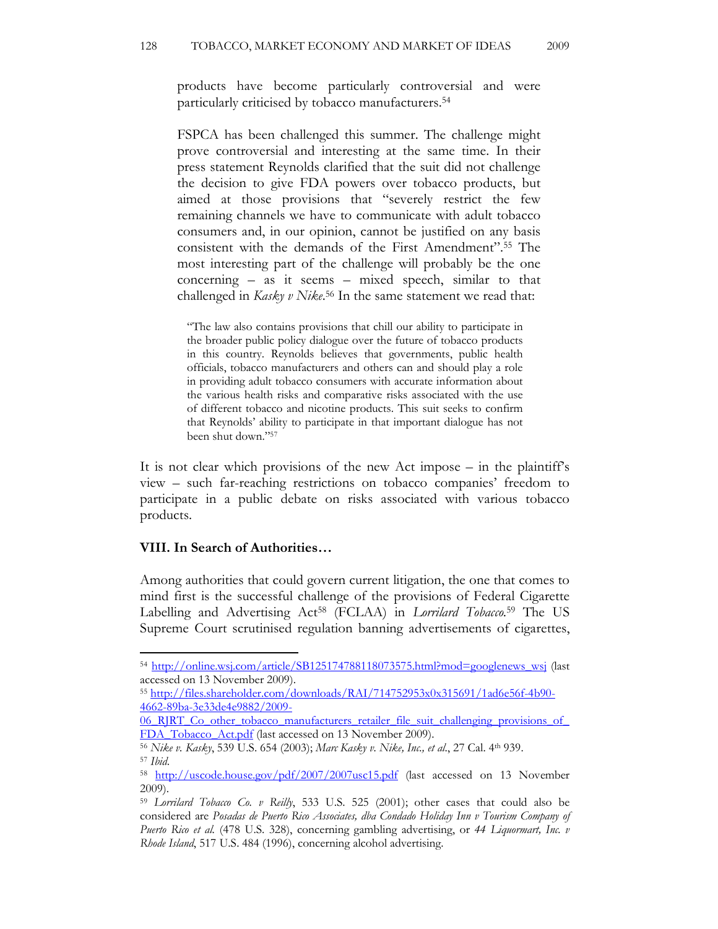products have become particularly controversial and were particularly criticised by tobacco manufacturers.<sup>54</sup>

FSPCA has been challenged this summer. The challenge might prove controversial and interesting at the same time. In their press statement Reynolds clarified that the suit did not challenge the decision to give FDA powers over tobacco products, but aimed at those provisions that "severely restrict the few remaining channels we have to communicate with adult tobacco consumers and, in our opinion, cannot be justified on any basis consistent with the demands of the First Amendment". <sup>55</sup> The most interesting part of the challenge will probably be the one concerning – as it seems – mixed speech, similar to that challenged in Kasky v Nike.<sup>56</sup> In the same statement we read that:

"The law also contains provisions that chill our ability to participate in the broader public policy dialogue over the future of tobacco products in this country. Reynolds believes that governments, public health officials, tobacco manufacturers and others can and should play a role in providing adult tobacco consumers with accurate information about the various health risks and comparative risks associated with the use of different tobacco and nicotine products. This suit seeks to confirm that Reynolds' ability to participate in that important dialogue has not been shut down."<sup>57</sup>

It is not clear which provisions of the new Act impose – in the plaintiff's view – such far-reaching restrictions on tobacco companies' freedom to participate in a public debate on risks associated with various tobacco products.

### VIII. In Search of Authorities…

l

Among authorities that could govern current litigation, the one that comes to mind first is the successful challenge of the provisions of Federal Cigarette Labelling and Advertising Act<sup>58</sup> (FCLAA) in Lorrilard Tobacco.<sup>59</sup> The US Supreme Court scrutinised regulation banning advertisements of cigarettes,

06 RJRT Co\_other\_tobacco\_manufacturers\_retailer\_file\_suit\_challenging\_provisions\_of FDA\_Tobacco\_Act.pdf (last accessed on 13 November 2009).

<sup>54</sup> http://online.wsj.com/article/SB125174788118073575.html?mod=googlenews\_wsj (last accessed on 13 November 2009).

<sup>55</sup> http://files.shareholder.com/downloads/RAI/714752953x0x315691/1ad6e56f-4b90- 4662-89ba-3e33de4e9882/2009-

<sup>56</sup> Nike v. Kasky, 539 U.S. 654 (2003); Marc Kasky v. Nike, Inc., et al., 27 Cal. 4th 939. <sup>57</sup> Ibid.

<sup>58</sup> http://uscode.house.gov/pdf/2007/2007usc15.pdf (last accessed on 13 November 2009).

<sup>&</sup>lt;sup>59</sup> Lorrilard Tobacco Co. v Reilly, 533 U.S. 525 (2001); other cases that could also be considered are Posadas de Puerto Rico Associates, dba Condado Holiday Inn v Tourism Company of Puerto Rico et al. (478 U.S. 328), concerning gambling advertising, or 44 Liquormart, Inc. v Rhode Island, 517 U.S. 484 (1996), concerning alcohol advertising.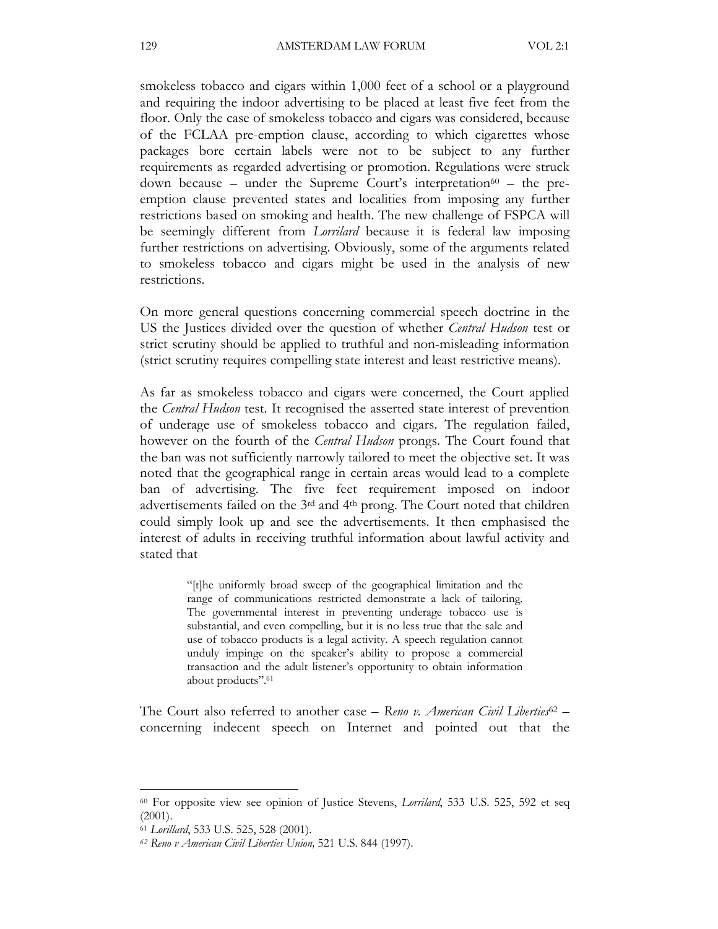smokeless tobacco and cigars within 1,000 feet of a school or a playground and requiring the indoor advertising to be placed at least five feet from the floor. Only the case of smokeless tobacco and cigars was considered, because of the FCLAA pre-emption clause, according to which cigarettes whose packages bore certain labels were not to be subject to any further requirements as regarded advertising or promotion. Regulations were struck down because – under the Supreme Court's interpretation<sup>60</sup> – the preemption clause prevented states and localities from imposing any further restrictions based on smoking and health. The new challenge of FSPCA will be seemingly different from Lorrilard because it is federal law imposing further restrictions on advertising. Obviously, some of the arguments related to smokeless tobacco and cigars might be used in the analysis of new restrictions.

On more general questions concerning commercial speech doctrine in the US the Justices divided over the question of whether Central Hudson test or strict scrutiny should be applied to truthful and non-misleading information (strict scrutiny requires compelling state interest and least restrictive means).

As far as smokeless tobacco and cigars were concerned, the Court applied the Central Hudson test. It recognised the asserted state interest of prevention of underage use of smokeless tobacco and cigars. The regulation failed, however on the fourth of the *Central Hudson* prongs. The Court found that the ban was not sufficiently narrowly tailored to meet the objective set. It was noted that the geographical range in certain areas would lead to a complete ban of advertising. The five feet requirement imposed on indoor advertisements failed on the 3rd and 4th prong. The Court noted that children could simply look up and see the advertisements. It then emphasised the interest of adults in receiving truthful information about lawful activity and stated that

> "[t]he uniformly broad sweep of the geographical limitation and the range of communications restricted demonstrate a lack of tailoring. The governmental interest in preventing underage tobacco use is substantial, and even compelling, but it is no less true that the sale and use of tobacco products is a legal activity. A speech regulation cannot unduly impinge on the speaker's ability to propose a commercial transaction and the adult listener's opportunity to obtain information about products".<sup>61</sup>

The Court also referred to another case – Reno v. American Civil Liberties<sup>62</sup> – concerning indecent speech on Internet and pointed out that the

<sup>&</sup>lt;sup>60</sup> For opposite view see opinion of Justice Stevens, *Lorrilard*, 533 U.S. 525, 592 et seq (2001).

<sup>61</sup> Lorillard, 533 U.S. 525, 528 (2001).

<sup>62</sup> Reno v American Civil Liberties Union, 521 U.S. 844 (1997).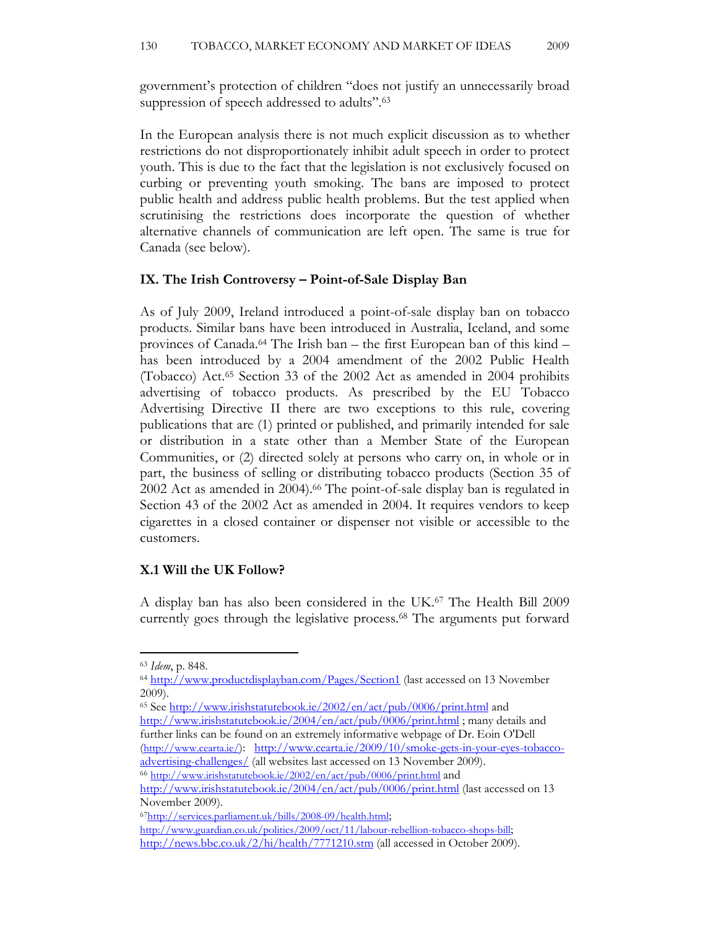government's protection of children "does not justify an unnecessarily broad suppression of speech addressed to adults".<sup>63</sup>

In the European analysis there is not much explicit discussion as to whether restrictions do not disproportionately inhibit adult speech in order to protect youth. This is due to the fact that the legislation is not exclusively focused on curbing or preventing youth smoking. The bans are imposed to protect public health and address public health problems. But the test applied when scrutinising the restrictions does incorporate the question of whether alternative channels of communication are left open. The same is true for Canada (see below).

#### IX. The Irish Controversy – Point-of-Sale Display Ban

As of July 2009, Ireland introduced a point-of-sale display ban on tobacco products. Similar bans have been introduced in Australia, Iceland, and some provinces of Canada.64 The Irish ban – the first European ban of this kind – has been introduced by a 2004 amendment of the 2002 Public Health (Tobacco) Act.65 Section 33 of the 2002 Act as amended in 2004 prohibits advertising of tobacco products. As prescribed by the EU Tobacco Advertising Directive II there are two exceptions to this rule, covering publications that are (1) printed or published, and primarily intended for sale or distribution in a state other than a Member State of the European Communities, or (2) directed solely at persons who carry on, in whole or in part, the business of selling or distributing tobacco products (Section 35 of 2002 Act as amended in 2004).<sup>66</sup> The point-of-sale display ban is regulated in Section 43 of the 2002 Act as amended in 2004. It requires vendors to keep cigarettes in a closed container or dispenser not visible or accessible to the customers.

#### X.1 Will the UK Follow?

A display ban has also been considered in the UK.67 The Health Bill 2009 currently goes through the legislative process.68 The arguments put forward

l

<sup>65</sup> See http://www.irishstatutebook.ie/2002/en/act/pub/0006/print.html and http://www.irishstatutebook.ie/2004/en/act/pub/0006/print.html; many details and further links can be found on an extremely informative webpage of Dr. Eoin O'Dell (http://www.cearta.ie/): http://www.cearta.ie/2009/10/smoke-gets-in-your-eyes-tobaccoadvertising-challenges/ (all websites last accessed on 13 November 2009). <sup>66</sup> http://www.irishstatutebook.ie/2002/en/act/pub/0006/print.html and

http://www.irishstatutebook.ie/2004/en/act/pub/0006/print.html (last accessed on 13 November 2009).

<sup>63</sup> Idem, p. 848.

<sup>64</sup> http://www.productdisplayban.com/Pages/Section1 (last accessed on 13 November 2009).

<sup>67</sup>http://services.parliament.uk/bills/2008-09/health.html;

http://www.guardian.co.uk/politics/2009/oct/11/labour-rebellion-tobacco-shops-bill; http://news.bbc.co.uk/2/hi/health/7771210.stm (all accessed in October 2009).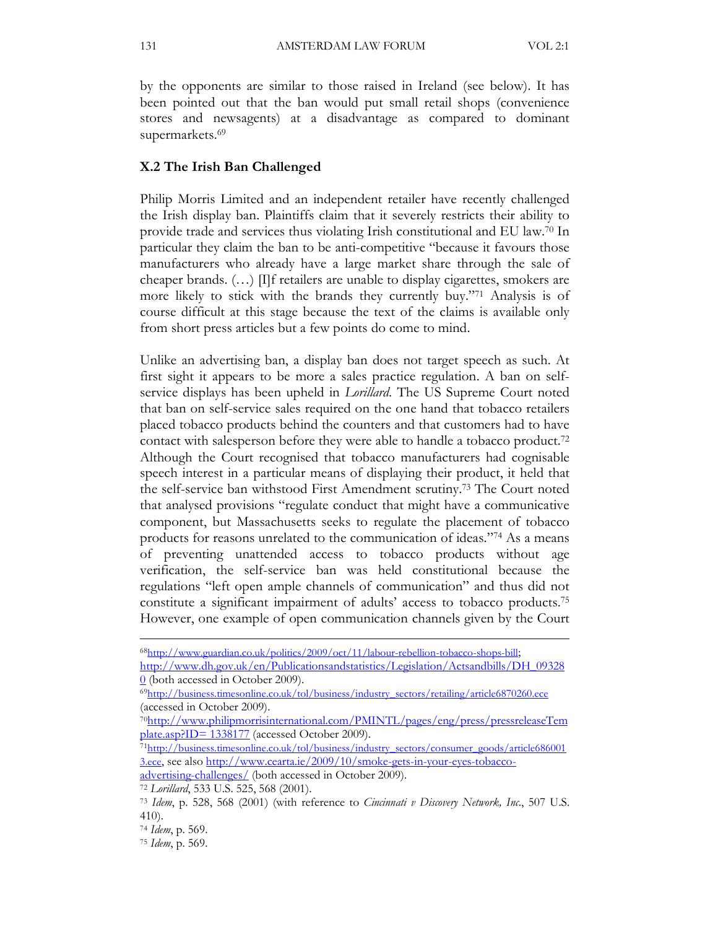by the opponents are similar to those raised in Ireland (see below). It has been pointed out that the ban would put small retail shops (convenience stores and newsagents) at a disadvantage as compared to dominant supermarkets.<sup>69</sup>

#### X.2 The Irish Ban Challenged

Philip Morris Limited and an independent retailer have recently challenged the Irish display ban. Plaintiffs claim that it severely restricts their ability to provide trade and services thus violating Irish constitutional and EU law.70 In particular they claim the ban to be anti-competitive "because it favours those manufacturers who already have a large market share through the sale of cheaper brands. (…) [I]f retailers are unable to display cigarettes, smokers are more likely to stick with the brands they currently buy."71 Analysis is of course difficult at this stage because the text of the claims is available only from short press articles but a few points do come to mind.

Unlike an advertising ban, a display ban does not target speech as such. At first sight it appears to be more a sales practice regulation. A ban on selfservice displays has been upheld in *Lorillard*. The US Supreme Court noted that ban on self-service sales required on the one hand that tobacco retailers placed tobacco products behind the counters and that customers had to have contact with salesperson before they were able to handle a tobacco product.<sup>72</sup> Although the Court recognised that tobacco manufacturers had cognisable speech interest in a particular means of displaying their product, it held that the self-service ban withstood First Amendment scrutiny.73 The Court noted that analysed provisions "regulate conduct that might have a communicative component, but Massachusetts seeks to regulate the placement of tobacco products for reasons unrelated to the communication of ideas."74 As a means of preventing unattended access to tobacco products without age verification, the self-service ban was held constitutional because the regulations "left open ample channels of communication" and thus did not constitute a significant impairment of adults' access to tobacco products.<sup>75</sup> However, one example of open communication channels given by the Court

<sup>71</sup>http://business.timesonline.co.uk/tol/business/industry\_sectors/consumer\_goods/article686001 3.ece, see also http://www.cearta.ie/2009/10/smoke-gets-in-your-eyes-tobacco-

<sup>68</sup>http://www.guardian.co.uk/politics/2009/oct/11/labour-rebellion-tobacco-shops-bill;

http://www.dh.gov.uk/en/Publicationsandstatistics/Legislation/Actsandbills/DH\_09328  $\Omega$  (both accessed in October 2009).

<sup>69</sup>http://business.timesonline.co.uk/tol/business/industry\_sectors/retailing/article6870260.ece (accessed in October 2009).

<sup>70</sup>http://www.philipmorrisinternational.com/PMINTL/pages/eng/press/pressreleaseTem plate.asp?ID= 1338177 (accessed October 2009).

advertising-challenges/ (both accessed in October 2009).

<sup>72</sup> Lorillard, 533 U.S. 525, 568 (2001).

<sup>73</sup> Idem, p. 528, 568 (2001) (with reference to Cincinnati v Discovery Network, Inc., 507 U.S. 410).

<sup>74</sup> Idem, p. 569.

<sup>75</sup> Idem, p. 569.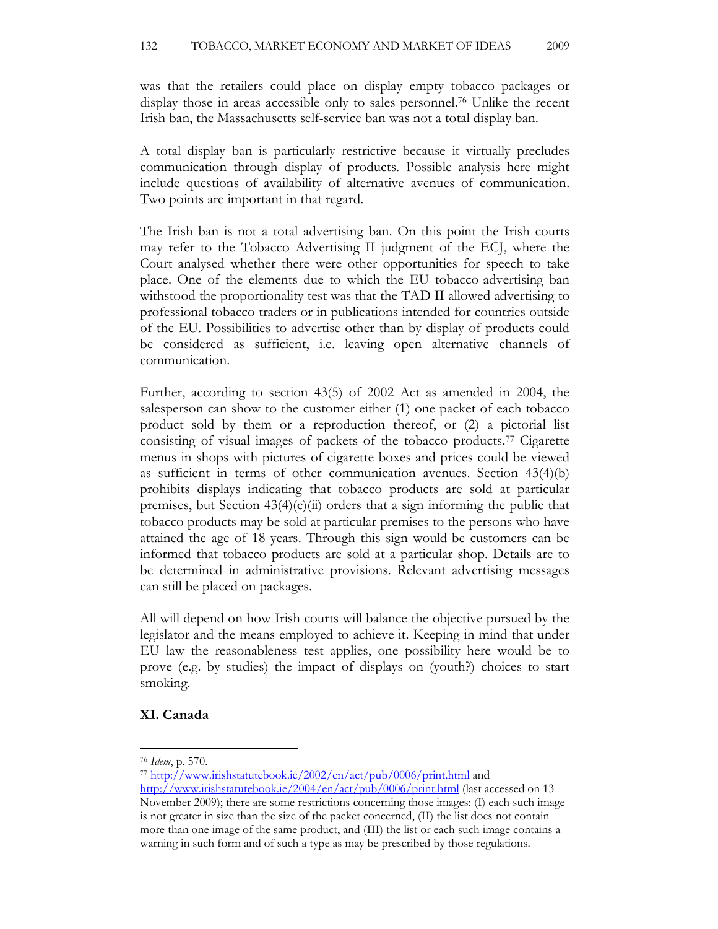was that the retailers could place on display empty tobacco packages or display those in areas accessible only to sales personnel.76 Unlike the recent Irish ban, the Massachusetts self-service ban was not a total display ban.

A total display ban is particularly restrictive because it virtually precludes communication through display of products. Possible analysis here might include questions of availability of alternative avenues of communication. Two points are important in that regard.

The Irish ban is not a total advertising ban. On this point the Irish courts may refer to the Tobacco Advertising II judgment of the ECJ, where the Court analysed whether there were other opportunities for speech to take place. One of the elements due to which the EU tobacco-advertising ban withstood the proportionality test was that the TAD II allowed advertising to professional tobacco traders or in publications intended for countries outside of the EU. Possibilities to advertise other than by display of products could be considered as sufficient, i.e. leaving open alternative channels of communication.

Further, according to section 43(5) of 2002 Act as amended in 2004, the salesperson can show to the customer either (1) one packet of each tobacco product sold by them or a reproduction thereof, or (2) a pictorial list consisting of visual images of packets of the tobacco products.77 Cigarette menus in shops with pictures of cigarette boxes and prices could be viewed as sufficient in terms of other communication avenues. Section 43(4)(b) prohibits displays indicating that tobacco products are sold at particular premises, but Section  $43(4)(c)(ii)$  orders that a sign informing the public that tobacco products may be sold at particular premises to the persons who have attained the age of 18 years. Through this sign would-be customers can be informed that tobacco products are sold at a particular shop. Details are to be determined in administrative provisions. Relevant advertising messages can still be placed on packages.

All will depend on how Irish courts will balance the objective pursued by the legislator and the means employed to achieve it. Keeping in mind that under EU law the reasonableness test applies, one possibility here would be to prove (e.g. by studies) the impact of displays on (youth?) choices to start smoking.

# XI. Canada

<sup>76</sup> Idem, p. 570.

<sup>77</sup> http://www.irishstatutebook.ie/2002/en/act/pub/0006/print.html and

http://www.irishstatutebook.ie/2004/en/act/pub/0006/print.html (last accessed on 13 November 2009); there are some restrictions concerning those images: (I) each such image is not greater in size than the size of the packet concerned, (II) the list does not contain more than one image of the same product, and (III) the list or each such image contains a warning in such form and of such a type as may be prescribed by those regulations.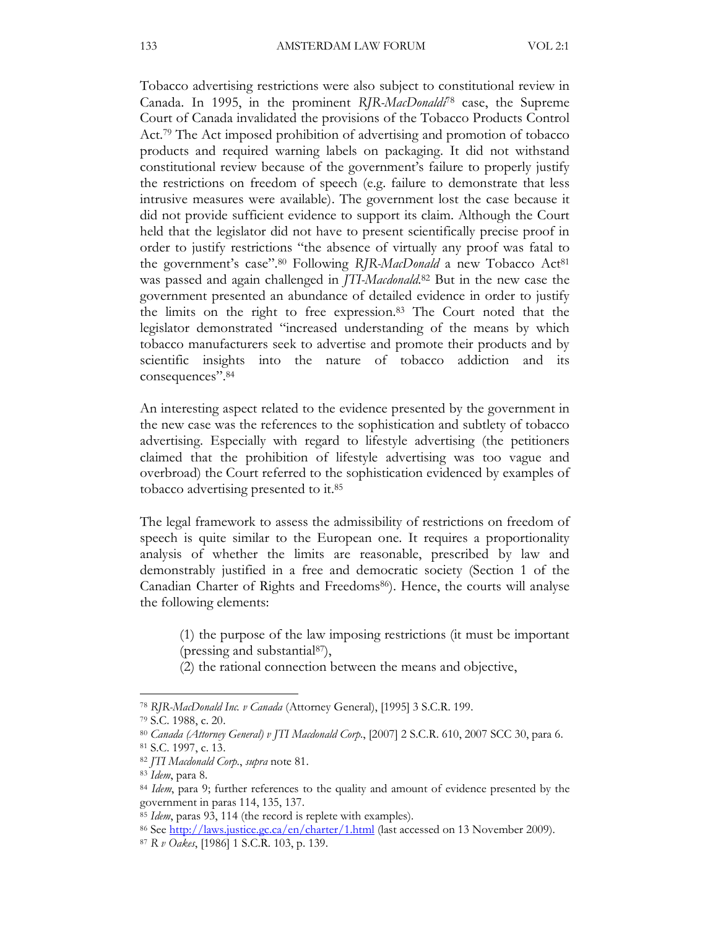Tobacco advertising restrictions were also subject to constitutional review in Canada. In 1995, in the prominent RJR-MacDonaldi<sup>78</sup> case, the Supreme Court of Canada invalidated the provisions of the Tobacco Products Control Act.<sup>79</sup> The Act imposed prohibition of advertising and promotion of tobacco products and required warning labels on packaging. It did not withstand constitutional review because of the government's failure to properly justify the restrictions on freedom of speech (e.g. failure to demonstrate that less intrusive measures were available). The government lost the case because it did not provide sufficient evidence to support its claim. Although the Court held that the legislator did not have to present scientifically precise proof in order to justify restrictions "the absence of virtually any proof was fatal to the government's case".<sup>80</sup> Following RJR-MacDonald a new Tobacco Act<sup>81</sup> was passed and again challenged in *JTI-Macdonald*.<sup>82</sup> But in the new case the government presented an abundance of detailed evidence in order to justify the limits on the right to free expression.83 The Court noted that the legislator demonstrated "increased understanding of the means by which tobacco manufacturers seek to advertise and promote their products and by scientific insights into the nature of tobacco addiction and its consequences".<sup>84</sup>

An interesting aspect related to the evidence presented by the government in the new case was the references to the sophistication and subtlety of tobacco advertising. Especially with regard to lifestyle advertising (the petitioners claimed that the prohibition of lifestyle advertising was too vague and overbroad) the Court referred to the sophistication evidenced by examples of tobacco advertising presented to it.<sup>85</sup>

The legal framework to assess the admissibility of restrictions on freedom of speech is quite similar to the European one. It requires a proportionality analysis of whether the limits are reasonable, prescribed by law and demonstrably justified in a free and democratic society (Section 1 of the Canadian Charter of Rights and Freedoms<sup>86</sup>). Hence, the courts will analyse the following elements:

(1) the purpose of the law imposing restrictions (it must be important (pressing and substantial87),

(2) the rational connection between the means and objective,

<sup>78</sup> RJR-MacDonald Inc. v Canada (Attorney General), [1995] 3 S.C.R. 199.

<sup>79</sup> S.C. 1988, c. 20.

<sup>80</sup> Canada (Attorney General) v JTI Macdonald Corp., [2007] 2 S.C.R. 610, 2007 SCC 30, para 6. <sup>81</sup> S.C. 1997, c. 13.

<sup>82</sup> JTI Macdonald Corp., supra note 81.

<sup>83</sup> Idem, para 8.

<sup>&</sup>lt;sup>84</sup> Idem, para 9; further references to the quality and amount of evidence presented by the government in paras 114, 135, 137.

<sup>&</sup>lt;sup>85</sup> Idem, paras 93, 114 (the record is replete with examples).

<sup>86</sup> See http://laws.justice.gc.ca/en/charter/1.html (last accessed on 13 November 2009).

<sup>87</sup> R v Oakes, [1986] 1 S.C.R. 103, p. 139.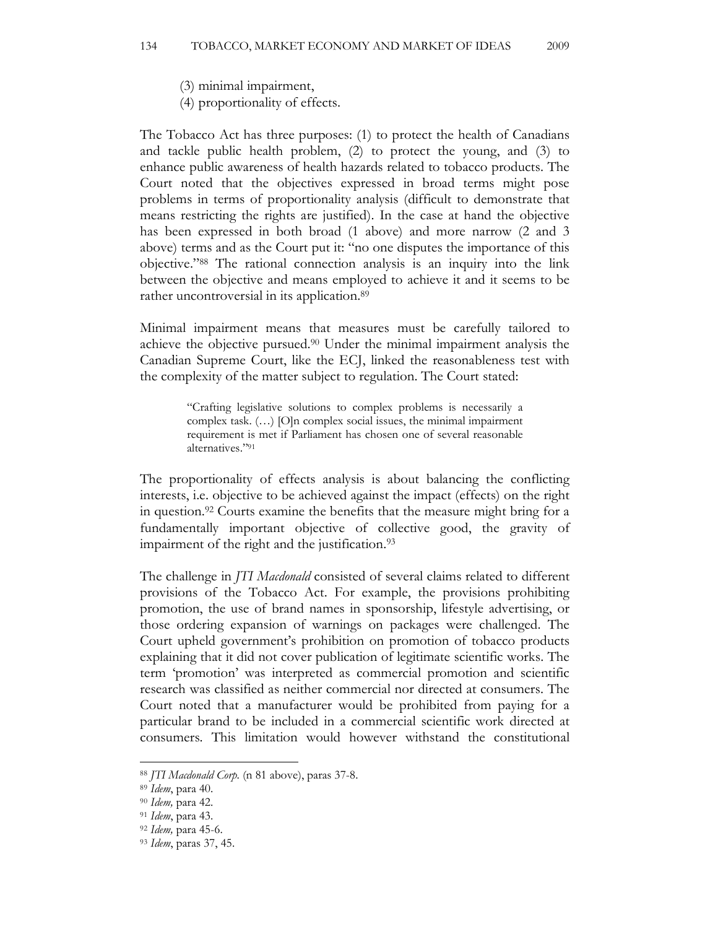(3) minimal impairment,

(4) proportionality of effects.

The Tobacco Act has three purposes: (1) to protect the health of Canadians and tackle public health problem, (2) to protect the young, and (3) to enhance public awareness of health hazards related to tobacco products. The Court noted that the objectives expressed in broad terms might pose problems in terms of proportionality analysis (difficult to demonstrate that means restricting the rights are justified). In the case at hand the objective has been expressed in both broad (1 above) and more narrow (2 and 3 above) terms and as the Court put it: "no one disputes the importance of this objective."88 The rational connection analysis is an inquiry into the link between the objective and means employed to achieve it and it seems to be rather uncontroversial in its application.<sup>89</sup>

Minimal impairment means that measures must be carefully tailored to achieve the objective pursued.90 Under the minimal impairment analysis the Canadian Supreme Court, like the ECJ, linked the reasonableness test with the complexity of the matter subject to regulation. The Court stated:

> "Crafting legislative solutions to complex problems is necessarily a complex task. (…) [O]n complex social issues, the minimal impairment requirement is met if Parliament has chosen one of several reasonable alternatives."<sup>91</sup>

The proportionality of effects analysis is about balancing the conflicting interests, i.e. objective to be achieved against the impact (effects) on the right in question.92 Courts examine the benefits that the measure might bring for a fundamentally important objective of collective good, the gravity of impairment of the right and the justification.<sup>93</sup>

The challenge in JTI Macdonald consisted of several claims related to different provisions of the Tobacco Act. For example, the provisions prohibiting promotion, the use of brand names in sponsorship, lifestyle advertising, or those ordering expansion of warnings on packages were challenged. The Court upheld government's prohibition on promotion of tobacco products explaining that it did not cover publication of legitimate scientific works. The term 'promotion' was interpreted as commercial promotion and scientific research was classified as neither commercial nor directed at consumers. The Court noted that a manufacturer would be prohibited from paying for a particular brand to be included in a commercial scientific work directed at consumers. This limitation would however withstand the constitutional

<sup>88</sup> JTI Macdonald Corp. (n 81 above), paras 37-8.

<sup>89</sup> Idem, para 40.

<sup>90</sup> Idem, para 42.

<sup>91</sup> Idem, para 43.

<sup>92</sup> Idem, para 45-6.

<sup>93</sup> Idem, paras 37, 45.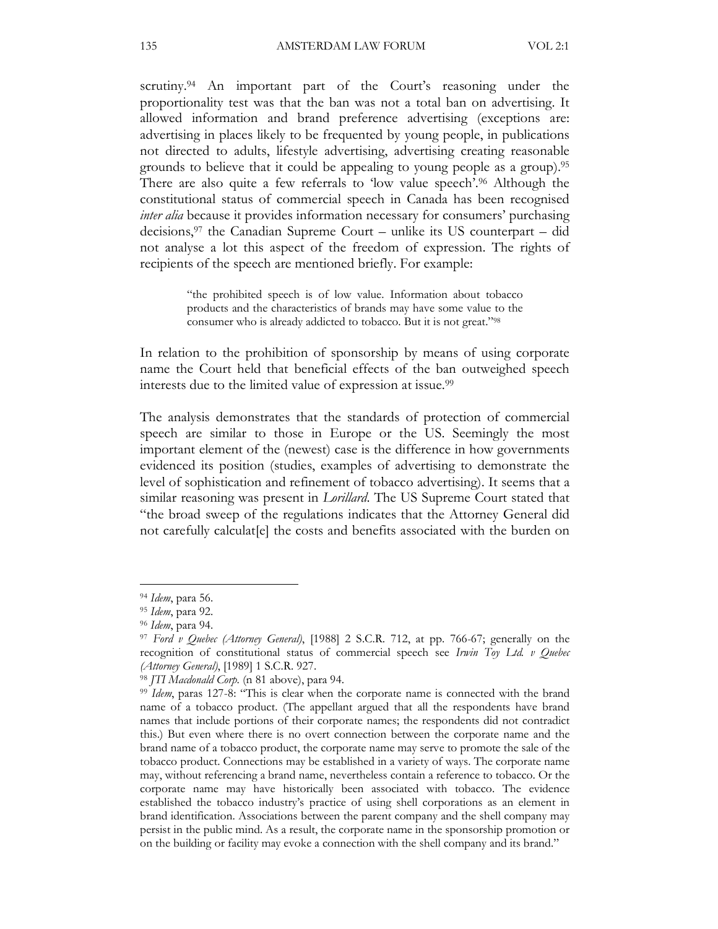scrutiny.<sup>94</sup> An important part of the Court's reasoning under the proportionality test was that the ban was not a total ban on advertising. It allowed information and brand preference advertising (exceptions are: advertising in places likely to be frequented by young people, in publications not directed to adults, lifestyle advertising, advertising creating reasonable grounds to believe that it could be appealing to young people as a group).<sup>95</sup> There are also quite a few referrals to 'low value speech'.96 Although the constitutional status of commercial speech in Canada has been recognised inter alia because it provides information necessary for consumers' purchasing decisions,97 the Canadian Supreme Court – unlike its US counterpart – did not analyse a lot this aspect of the freedom of expression. The rights of recipients of the speech are mentioned briefly. For example:

> "the prohibited speech is of low value. Information about tobacco products and the characteristics of brands may have some value to the consumer who is already addicted to tobacco. But it is not great."<sup>98</sup>

In relation to the prohibition of sponsorship by means of using corporate name the Court held that beneficial effects of the ban outweighed speech interests due to the limited value of expression at issue.<sup>99</sup>

The analysis demonstrates that the standards of protection of commercial speech are similar to those in Europe or the US. Seemingly the most important element of the (newest) case is the difference in how governments evidenced its position (studies, examples of advertising to demonstrate the level of sophistication and refinement of tobacco advertising). It seems that a similar reasoning was present in *Lorillard*. The US Supreme Court stated that "the broad sweep of the regulations indicates that the Attorney General did not carefully calculat[e] the costs and benefits associated with the burden on

<sup>94</sup> Idem, para 56.

<sup>95</sup> Idem, para 92.

<sup>96</sup> Idem, para 94.

<sup>97</sup> Ford v Quebec (Attorney General), [1988] 2 S.C.R. 712, at pp. 766-67; generally on the recognition of constitutional status of commercial speech see Irwin Toy Ltd. v Quebec (Attorney General), [1989] 1 S.C.R. 927.

<sup>98</sup> JTI Macdonald Corp. (n 81 above), para 94.

<sup>&</sup>lt;sup>99</sup> Idem, paras 127-8: "This is clear when the corporate name is connected with the brand name of a tobacco product. (The appellant argued that all the respondents have brand names that include portions of their corporate names; the respondents did not contradict this.) But even where there is no overt connection between the corporate name and the brand name of a tobacco product, the corporate name may serve to promote the sale of the tobacco product. Connections may be established in a variety of ways. The corporate name may, without referencing a brand name, nevertheless contain a reference to tobacco. Or the corporate name may have historically been associated with tobacco. The evidence established the tobacco industry's practice of using shell corporations as an element in brand identification. Associations between the parent company and the shell company may persist in the public mind. As a result, the corporate name in the sponsorship promotion or on the building or facility may evoke a connection with the shell company and its brand."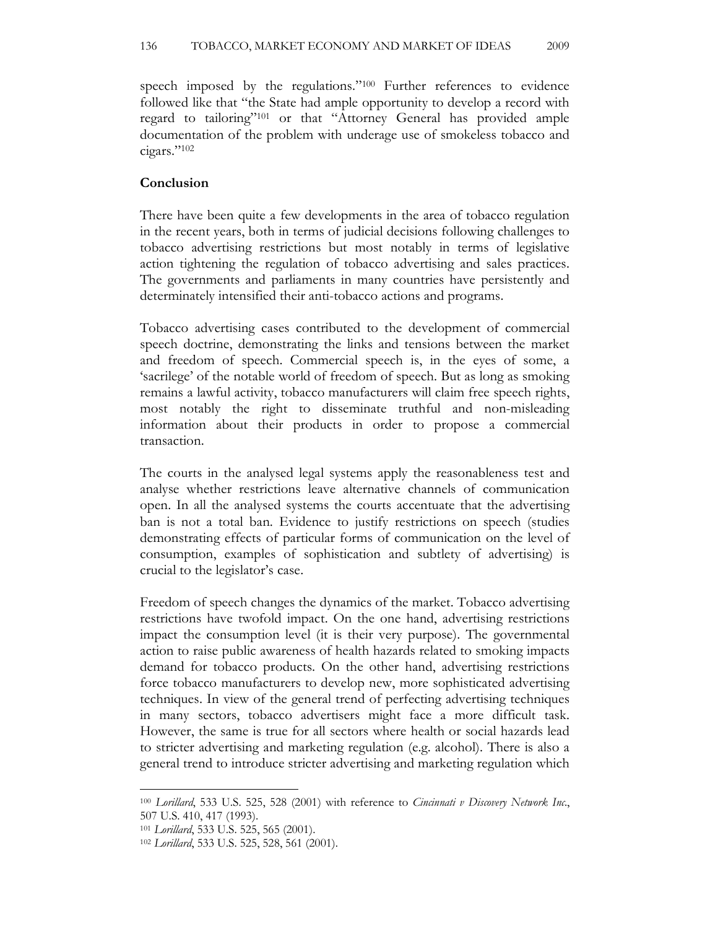speech imposed by the regulations."100 Further references to evidence followed like that "the State had ample opportunity to develop a record with regard to tailoring"101 or that "Attorney General has provided ample documentation of the problem with underage use of smokeless tobacco and cigars."<sup>102</sup>

#### Conclusion

There have been quite a few developments in the area of tobacco regulation in the recent years, both in terms of judicial decisions following challenges to tobacco advertising restrictions but most notably in terms of legislative action tightening the regulation of tobacco advertising and sales practices. The governments and parliaments in many countries have persistently and determinately intensified their anti-tobacco actions and programs.

Tobacco advertising cases contributed to the development of commercial speech doctrine, demonstrating the links and tensions between the market and freedom of speech. Commercial speech is, in the eyes of some, a 'sacrilege' of the notable world of freedom of speech. But as long as smoking remains a lawful activity, tobacco manufacturers will claim free speech rights, most notably the right to disseminate truthful and non-misleading information about their products in order to propose a commercial transaction.

The courts in the analysed legal systems apply the reasonableness test and analyse whether restrictions leave alternative channels of communication open. In all the analysed systems the courts accentuate that the advertising ban is not a total ban. Evidence to justify restrictions on speech (studies demonstrating effects of particular forms of communication on the level of consumption, examples of sophistication and subtlety of advertising) is crucial to the legislator's case.

Freedom of speech changes the dynamics of the market. Tobacco advertising restrictions have twofold impact. On the one hand, advertising restrictions impact the consumption level (it is their very purpose). The governmental action to raise public awareness of health hazards related to smoking impacts demand for tobacco products. On the other hand, advertising restrictions force tobacco manufacturers to develop new, more sophisticated advertising techniques. In view of the general trend of perfecting advertising techniques in many sectors, tobacco advertisers might face a more difficult task. However, the same is true for all sectors where health or social hazards lead to stricter advertising and marketing regulation (e.g. alcohol). There is also a general trend to introduce stricter advertising and marketing regulation which

<sup>&</sup>lt;sup>100</sup> Lorillard, 533 U.S. 525, 528 (2001) with reference to *Cincinnati v Discovery Network Inc.*, 507 U.S. 410, 417 (1993).

<sup>101</sup> Lorillard, 533 U.S. 525, 565 (2001).

<sup>102</sup> Lorillard, 533 U.S. 525, 528, 561 (2001).